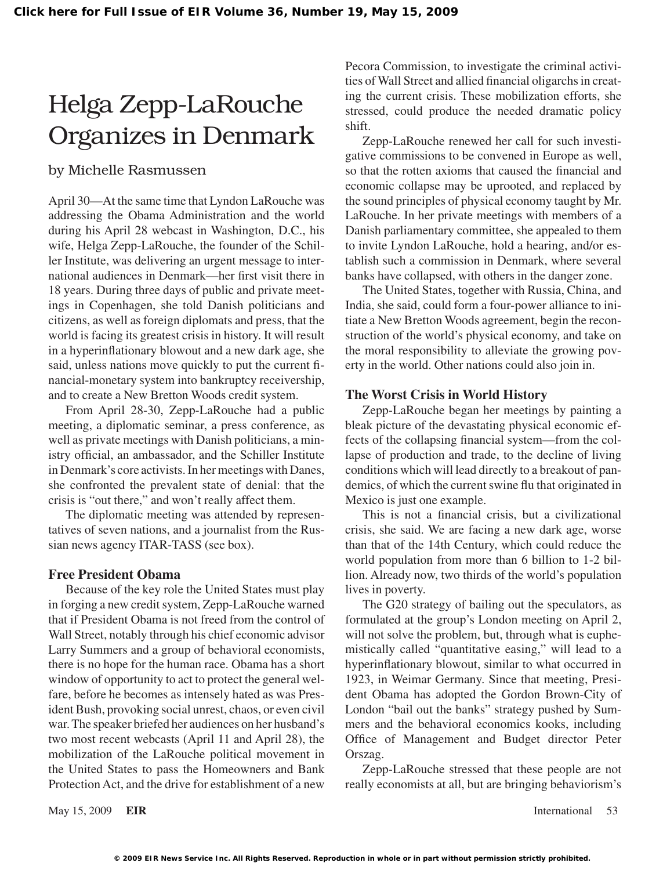# Helga Zepp-LaRouche Organizes in Denmark

### by Michelle Rasmussen

April 30—At the same time that Lyndon LaRouche was addressing the Obama Administration and the world during his April 28 webcast in Washington, D.C., his wife, Helga Zepp-LaRouche, the founder of the Schiller Institute, was delivering an urgent message to international audiences in Denmark—her first visit there in 18 years. During three days of public and private meetings in Copenhagen, she told Danish politicians and citizens, as well as foreign diplomats and press, that the world is facing its greatest crisis in history. It will result in a hyperinflationary blowout and a new dark age, she said, unless nations move quickly to put the current financial-monetary system into bankruptcy receivership, and to create a New Bretton Woods credit system.

From April 28-30, Zepp-LaRouche had a public meeting, a diplomatic seminar, a press conference, as well as private meetings with Danish politicians, a ministry official, an ambassador, and the Schiller Institute in Denmark's core activists. In her meetings with Danes, she confronted the prevalent state of denial: that the crisis is "out there," and won't really affect them.

The diplomatic meeting was attended by representatives of seven nations, and a journalist from the Russian news agency ITAR-TASS (see box).

#### **Free President Obama**

Because of the key role the United States must play in forging a new credit system, Zepp-LaRouche warned that if President Obama is not freed from the control of Wall Street, notably through his chief economic advisor Larry Summers and a group of behavioral economists, there is no hope for the human race. Obama has a short window of opportunity to act to protect the general welfare, before he becomes as intensely hated as was President Bush, provoking social unrest, chaos, or even civil war.The speaker briefed her audiences on her husband's two most recent webcasts (April 11 and April 28), the mobilization of the LaRouche political movement in the United States to pass the Homeowners and Bank Protection Act, and the drive for establishment of a new

Pecora Commission, to investigate the criminal activities of Wall Street and allied financial oligarchsin creating the current crisis. These mobilization efforts, she stressed, could produce the needed dramatic policy shift.

Zepp-LaRouche renewed her call for such investigative commissions to be convened in Europe as well, so that the rotten axioms that caused the financial and economic collapse may be uprooted, and replaced by the sound principles of physical economy taught by Mr. LaRouche. In her private meetings with members of a Danish parliamentary committee, she appealed to them to invite Lyndon LaRouche, hold a hearing, and/or establish such a commission in Denmark, where several banks have collapsed, with others in the danger zone.

The United States, together with Russia, China, and India, she said, could form a four-power alliance to initiate a New Bretton Woods agreement, begin the reconstruction of the world's physical economy, and take on the moral responsibility to alleviate the growing poverty in the world. Other nations could also join in.

#### **The Worst Crisis in World History**

Zepp-LaRouche began her meetings by painting a bleak picture of the devastating physical economic effects of the collapsing financial system—from the collapse of production and trade, to the decline of living conditions which will lead directly to a breakout of pandemics, of which the current swine flu that originated in Mexico is just one example.

This is not a financial crisis, but a civilizational crisis, she said. We are facing a new dark age, worse than that of the 14th Century, which could reduce the world population from more than 6 billion to 1-2 billion. Already now, two thirds of the world's population lives in poverty.

The G20 strategy of bailing out the speculators, as formulated at the group's London meeting on April 2, will not solve the problem, but, through what is euphemistically called "quantitative easing," will lead to a hyperinflationary blowout, similar to what occurred in 1923, in Weimar Germany. Since that meeting, President Obama has adopted the Gordon Brown-City of London "bail out the banks" strategy pushed by Summers and the behavioral economics kooks, including Office of Management and Budget director Peter Orszag.

Zepp-LaRouche stressed that these people are not really economists at all, but are bringing behaviorism's

May 15, 2009 **EIR** International 53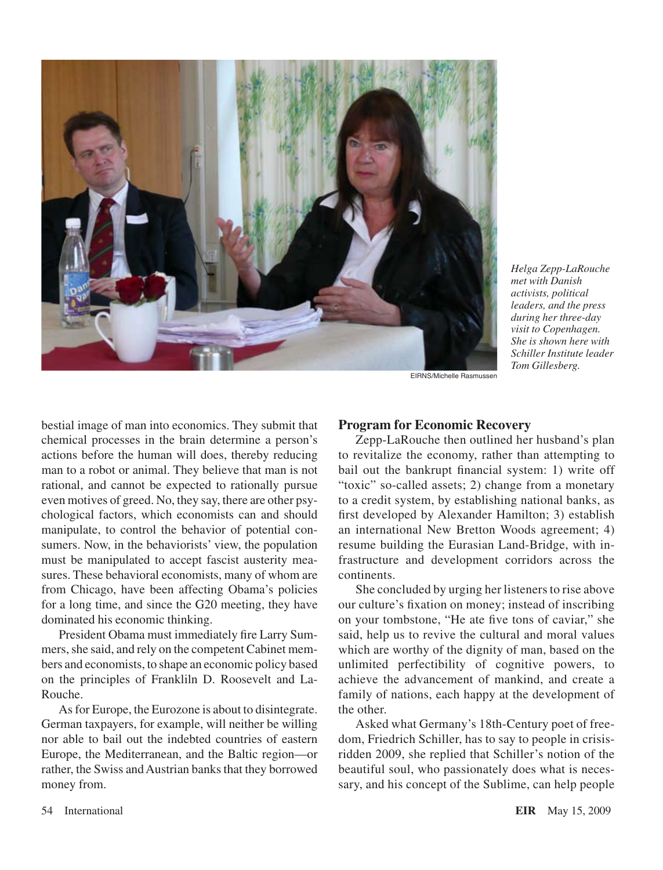

*Helga Zepp-LaRouche met with Danish activists, political leaders, and the press during her three-day visit to Copenhagen. She is shown here with Schiller Institute leader Tom Gillesberg.*

EIRNS/Michelle Rasmussen

bestial image of man into economics. They submit that chemical processes in the brain determine a person's actions before the human will does, thereby reducing man to a robot or animal. They believe that man is not rational, and cannot be expected to rationally pursue even motives of greed. No, they say, there are other psychological factors, which economists can and should manipulate, to control the behavior of potential consumers. Now, in the behaviorists' view, the population must be manipulated to accept fascist austerity measures. These behavioral economists, many of whom are from Chicago, have been affecting Obama's policies for a long time, and since the G20 meeting, they have dominated his economic thinking.

President Obama must immediately fire Larry Summers, she said, and rely on the competent Cabinet members and economists, to shape an economic policy based on the principles of Frankliln D. Roosevelt and La-Rouche.

As for Europe, the Eurozone is about to disintegrate. German taxpayers, for example, will neither be willing nor able to bail out the indebted countries of eastern Europe, the Mediterranean, and the Baltic region—or rather, the Swiss and Austrian banks that they borrowed money from.

#### **Program for Economic Recovery**

Zepp-LaRouche then outlined her husband's plan to revitalize the economy, rather than attempting to bail out the bankrupt financial system: 1) write off "toxic" so-called assets; 2) change from a monetary to a credit system, by establishing national banks, as first developed by Alexander Hamilton; 3) establish an international New Bretton Woods agreement; 4) resume building the Eurasian Land-Bridge, with infrastructure and development corridors across the continents.

She concluded by urging her listeners to rise above our culture's fixation on money; instead of inscribing on your tombstone, "He ate five tons of caviar," she said, help us to revive the cultural and moral values which are worthy of the dignity of man, based on the unlimited perfectibility of cognitive powers, to achieve the advancement of mankind, and create a family of nations, each happy at the development of the other.

Asked what Germany's 18th-Century poet of freedom, Friedrich Schiller, has to say to people in crisisridden 2009, she replied that Schiller's notion of the beautiful soul, who passionately does what is necessary, and his concept of the Sublime, can help people